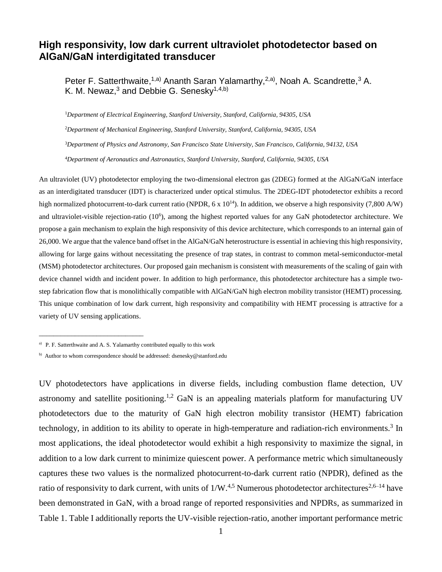## **High responsivity, low dark current ultraviolet photodetector based on AlGaN/GaN interdigitated transducer**

Peter F. Satterthwaite,<sup>1,a)</sup> Ananth Saran Yalamarthy,<sup>2,a)</sup>, Noah A. Scandrette,<sup>3</sup> A. K. M. Newaz, $3$  and Debbie G. Senesky $1,4,6$ )

*Department of Electrical Engineering, Stanford University, Stanford, California, 94305, USA Department of Mechanical Engineering, Stanford University, Stanford, California, 94305, USA Department of Physics and Astronomy, San Francisco State University, San Francisco, California, 94132, USA Department of Aeronautics and Astronautics, Stanford University, Stanford, California, 94305, USA*

An ultraviolet (UV) photodetector employing the two-dimensional electron gas (2DEG) formed at the AlGaN/GaN interface as an interdigitated transducer (IDT) is characterized under optical stimulus. The 2DEG-IDT photodetector exhibits a record high normalized photocurrent-to-dark current ratio (NPDR,  $6 \times 10^{14}$ ). In addition, we observe a high responsivity (7,800 A/W) and ultraviolet-visible rejection-ratio (10<sup>6</sup>), among the highest reported values for any GaN photodetector architecture. We propose a gain mechanism to explain the high responsivity of this device architecture, which corresponds to an internal gain of 26,000. We argue that the valence band offset in the AlGaN/GaN heterostructure is essential in achieving this high responsivity, allowing for large gains without necessitating the presence of trap states, in contrast to common metal-semiconductor-metal (MSM) photodetector architectures. Our proposed gain mechanism is consistent with measurements of the scaling of gain with device channel width and incident power. In addition to high performance, this photodetector architecture has a simple twostep fabrication flow that is monolithically compatible with AlGaN/GaN high electron mobility transistor (HEMT) processing. This unique combination of low dark current, high responsivity and compatibility with HEMT processing is attractive for a variety of UV sensing applications.

\_\_\_\_\_\_\_\_\_\_\_\_\_\_\_\_\_\_\_\_\_\_\_\_\_\_\_\_\_

UV photodetectors have applications in diverse fields, including combustion flame detection, UV astronomy and satellite positioning.<sup>1,2</sup> GaN is an appealing materials platform for manufacturing UV photodetectors due to the maturity of GaN high electron mobility transistor (HEMT) fabrication technology, in addition to its ability to operate in high-temperature and radiation-rich environments.<sup>3</sup> In most applications, the ideal photodetector would exhibit a high responsivity to maximize the signal, in addition to a low dark current to minimize quiescent power. A performance metric which simultaneously captures these two values is the normalized photocurrent-to-dark current ratio (NPDR), defined as the ratio of responsivity to dark current, with units of  $1/W^{4,5}$ . Numerous photodetector architectures<sup>2,6–14</sup> have been demonstrated in GaN, with a broad range of reported responsivities and NPDRs, as summarized in Table 1. Table I additionally reports the UV-visible rejection-ratio, another important performance metric

<sup>&</sup>lt;sup>a)</sup> P. F. Satterthwaite and A. S. Yalamarthy contributed equally to this work

b) Author to whom correspondence should be addressed: dsenesky@stanford.edu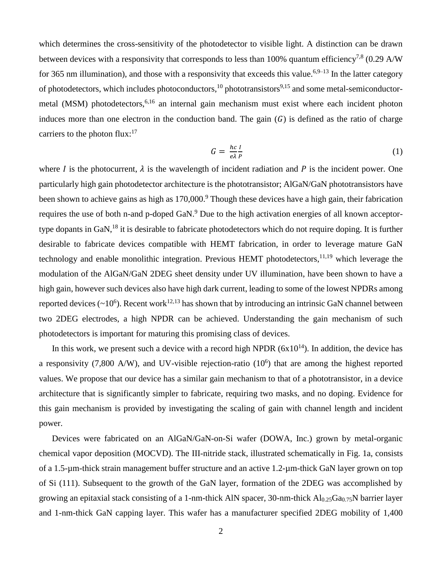which determines the cross-sensitivity of the photodetector to visible light. A distinction can be drawn between devices with a responsivity that corresponds to less than 100% quantum efficiency<sup>7,8</sup> (0.29 A/W for 365 nm illumination), and those with a responsivity that exceeds this value.  $6,9-13$  In the latter category of photodetectors, which includes photoconductors,  $^{10}$  phototransistors<sup>9,15</sup> and some metal-semiconductormetal (MSM) photodetectors,  $6,16$  an internal gain mechanism must exist where each incident photon induces more than one electron in the conduction band. The gain  $(G)$  is defined as the ratio of charge carriers to the photon flux: $17$ 

$$
G = \frac{hc}{e\lambda} \frac{I}{P} \tag{1}
$$

where I is the photocurrent,  $\lambda$  is the wavelength of incident radiation and P is the incident power. One particularly high gain photodetector architecture is the phototransistor; AlGaN/GaN phototransistors have been shown to achieve gains as high as 170,000.<sup>9</sup> Though these devices have a high gain, their fabrication requires the use of both n-and p-doped GaN.<sup>9</sup> Due to the high activation energies of all known acceptortype dopants in GaN,<sup>18</sup> it is desirable to fabricate photodetectors which do not require doping. It is further desirable to fabricate devices compatible with HEMT fabrication, in order to leverage mature GaN technology and enable monolithic integration. Previous HEMT photodetectors, <sup>11,19</sup> which leverage the modulation of the AlGaN/GaN 2DEG sheet density under UV illumination, have been shown to have a high gain, however such devices also have high dark current, leading to some of the lowest NPDRs among reported devices  $(\sim 10^6)$ . Recent work<sup>12,13</sup> has shown that by introducing an intrinsic GaN channel between two 2DEG electrodes, a high NPDR can be achieved. Understanding the gain mechanism of such photodetectors is important for maturing this promising class of devices.

In this work, we present such a device with a record high NPDR  $(6x10^{14})$ . In addition, the device has a responsivity  $(7,800 \text{ A/W})$ , and UV-visible rejection-ratio  $(10^6)$  that are among the highest reported values. We propose that our device has a similar gain mechanism to that of a phototransistor, in a device architecture that is significantly simpler to fabricate, requiring two masks, and no doping. Evidence for this gain mechanism is provided by investigating the scaling of gain with channel length and incident power.

Devices were fabricated on an AlGaN/GaN-on-Si wafer (DOWA, Inc.) grown by metal-organic chemical vapor deposition (MOCVD). The III-nitride stack, illustrated schematically in Fig. 1a, consists of a 1.5-µm-thick strain management buffer structure and an active 1.2-µm-thick GaN layer grown on top of Si (111). Subsequent to the growth of the GaN layer, formation of the 2DEG was accomplished by growing an epitaxial stack consisting of a 1-nm-thick AlN spacer, 30-nm-thick  $Al_{0.25}Ga_{0.75}N$  barrier layer and 1-nm-thick GaN capping layer. This wafer has a manufacturer specified 2DEG mobility of 1,400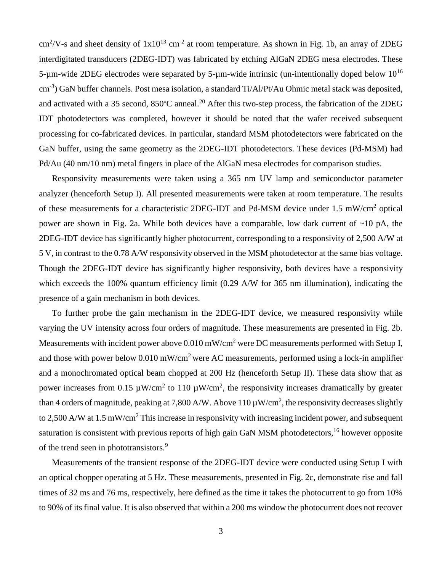$\text{cm}^2/\text{V-s}$  and sheet density of  $1x10^{13} \text{ cm}^{-2}$  at room temperature. As shown in Fig. 1b, an array of 2DEG interdigitated transducers (2DEG-IDT) was fabricated by etching AlGaN 2DEG mesa electrodes. These 5-µm-wide 2DEG electrodes were separated by 5-µm-wide intrinsic (un-intentionally doped below  $10^{16}$ ) cm<sup>-3</sup>) GaN buffer channels. Post mesa isolation, a standard Ti/Al/Pt/Au Ohmic metal stack was deposited, and activated with a 35 second, 850°C anneal.<sup>20</sup> After this two-step process, the fabrication of the 2DEG IDT photodetectors was completed, however it should be noted that the wafer received subsequent processing for co-fabricated devices. In particular, standard MSM photodetectors were fabricated on the GaN buffer, using the same geometry as the 2DEG-IDT photodetectors. These devices (Pd-MSM) had Pd/Au (40 nm/10 nm) metal fingers in place of the AlGaN mesa electrodes for comparison studies.

Responsivity measurements were taken using a 365 nm UV lamp and semiconductor parameter analyzer (henceforth Setup I). All presented measurements were taken at room temperature. The results of these measurements for a characteristic 2DEG-IDT and Pd-MSM device under 1.5 mW/cm<sup>2</sup> optical power are shown in Fig. 2a. While both devices have a comparable, low dark current of ~10 pA, the 2DEG-IDT device has significantly higher photocurrent, corresponding to a responsivity of 2,500 A/W at 5 V, in contrast to the 0.78 A/W responsivity observed in the MSM photodetector at the same bias voltage. Though the 2DEG-IDT device has significantly higher responsivity, both devices have a responsivity which exceeds the 100% quantum efficiency limit (0.29 A/W for 365 nm illumination), indicating the presence of a gain mechanism in both devices.

To further probe the gain mechanism in the 2DEG-IDT device, we measured responsivity while varying the UV intensity across four orders of magnitude. These measurements are presented in Fig. 2b. Measurements with incident power above 0.010 mW/cm<sup>2</sup> were DC measurements performed with Setup I, and those with power below  $0.010 \text{ mW/cm}^2$  were AC measurements, performed using a lock-in amplifier and a monochromated optical beam chopped at 200 Hz (henceforth Setup II). These data show that as power increases from 0.15  $\mu$ W/cm<sup>2</sup> to 110  $\mu$ W/cm<sup>2</sup>, the responsivity increases dramatically by greater than 4 orders of magnitude, peaking at 7,800 A/W. Above 110  $\mu$ W/cm<sup>2</sup>, the responsivity decreases slightly to 2,500 A/W at 1.5 mW/cm<sup>2</sup> This increase in responsivity with increasing incident power, and subsequent saturation is consistent with previous reports of high gain GaN MSM photodetectors, <sup>16</sup> however opposite of the trend seen in phototransistors.<sup>9</sup>

Measurements of the transient response of the 2DEG-IDT device were conducted using Setup I with an optical chopper operating at 5 Hz. These measurements, presented in Fig. 2c, demonstrate rise and fall times of 32 ms and 76 ms, respectively, here defined as the time it takes the photocurrent to go from 10% to 90% of its final value. It is also observed that within a 200 ms window the photocurrent does not recover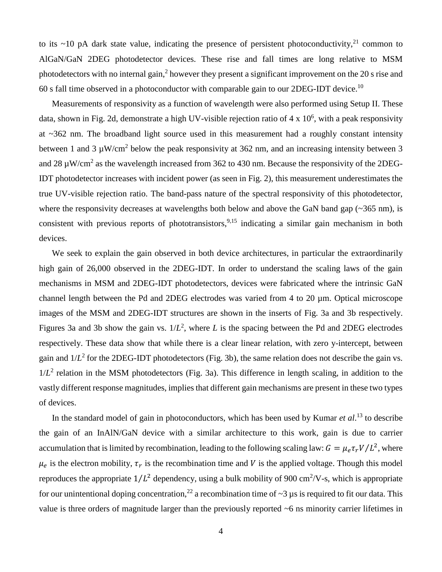to its ~10 pA dark state value, indicating the presence of persistent photoconductivity,<sup>21</sup> common to AlGaN/GaN 2DEG photodetector devices. These rise and fall times are long relative to MSM photodetectors with no internal gain,<sup>2</sup> however they present a significant improvement on the 20 s rise and 60 s fall time observed in a photoconductor with comparable gain to our 2DEG-IDT device.<sup>10</sup>

Measurements of responsivity as a function of wavelength were also performed using Setup II. These data, shown in Fig. 2d, demonstrate a high UV-visible rejection ratio of  $4 \times 10^6$ , with a peak responsivity at ~362 nm. The broadband light source used in this measurement had a roughly constant intensity between 1 and 3  $\mu$ W/cm<sup>2</sup> below the peak responsivity at 362 nm, and an increasing intensity between 3 and 28  $\mu$ W/cm<sup>2</sup> as the wavelength increased from 362 to 430 nm. Because the responsivity of the 2DEG-IDT photodetector increases with incident power (as seen in Fig. 2), this measurement underestimates the true UV-visible rejection ratio. The band-pass nature of the spectral responsivity of this photodetector, where the responsivity decreases at wavelengths both below and above the GaN band gap (~365 nm), is consistent with previous reports of phototransistors,  $9.15$  indicating a similar gain mechanism in both devices.

We seek to explain the gain observed in both device architectures, in particular the extraordinarily high gain of 26,000 observed in the 2DEG-IDT. In order to understand the scaling laws of the gain mechanisms in MSM and 2DEG-IDT photodetectors, devices were fabricated where the intrinsic GaN channel length between the Pd and 2DEG electrodes was varied from 4 to 20 µm. Optical microscope images of the MSM and 2DEG-IDT structures are shown in the inserts of Fig. 3a and 3b respectively. Figures 3a and 3b show the gain vs.  $1/L^2$ , where *L* is the spacing between the Pd and 2DEG electrodes respectively. These data show that while there is a clear linear relation, with zero y-intercept, between gain and  $1/L^2$  for the 2DEG-IDT photodetectors (Fig. 3b), the same relation does not describe the gain vs.  $1/L<sup>2</sup>$  relation in the MSM photodetectors (Fig. 3a). This difference in length scaling, in addition to the vastly different response magnitudes, implies that different gain mechanisms are present in these two types of devices.

In the standard model of gain in photoconductors, which has been used by Kumar *et al*. <sup>13</sup> to describe the gain of an InAlN/GaN device with a similar architecture to this work, gain is due to carrier accumulation that is limited by recombination, leading to the following scaling law:  $G = \mu_e \tau_r V / L^2$ , where  $\mu_e$  is the electron mobility,  $\tau_r$  is the recombination time and V is the applied voltage. Though this model reproduces the appropriate  $1/L^2$  dependency, using a bulk mobility of 900 cm<sup>2</sup>/V-s, which is appropriate for our unintentional doping concentration,  $^{22}$  a recombination time of  $\sim$ 3 us is required to fit our data. This value is three orders of magnitude larger than the previously reported ~6 ns minority carrier lifetimes in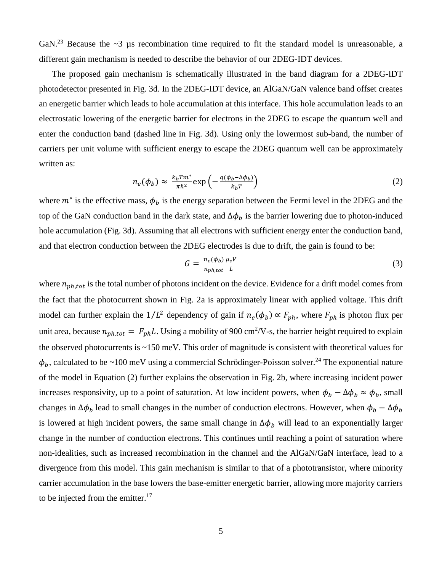GaN.<sup>23</sup> Because the  $\sim$ 3 µs recombination time required to fit the standard model is unreasonable, a different gain mechanism is needed to describe the behavior of our 2DEG-IDT devices.

The proposed gain mechanism is schematically illustrated in the band diagram for a 2DEG-IDT photodetector presented in Fig. 3d. In the 2DEG-IDT device, an AlGaN/GaN valence band offset creates an energetic barrier which leads to hole accumulation at this interface. This hole accumulation leads to an electrostatic lowering of the energetic barrier for electrons in the 2DEG to escape the quantum well and enter the conduction band (dashed line in Fig. 3d). Using only the lowermost sub-band, the number of carriers per unit volume with sufficient energy to escape the 2DEG quantum well can be approximately written as:

$$
n_e(\phi_b) \approx \frac{k_b T m^*}{\pi \hbar^2} \exp\left(-\frac{q(\phi_b - \Delta \phi_b)}{k_b T}\right) \tag{2}
$$

where  $m^*$  is the effective mass,  $\phi_b$  is the energy separation between the Fermi level in the 2DEG and the top of the GaN conduction band in the dark state, and  $\Delta\phi_b$  is the barrier lowering due to photon-induced hole accumulation (Fig. 3d). Assuming that all electrons with sufficient energy enter the conduction band, and that electron conduction between the 2DEG electrodes is due to drift, the gain is found to be:

$$
G = \frac{n_e(\phi_b)}{n_{ph,tot}} \frac{\mu_e V}{L} \tag{3}
$$

where  $n_{ph, tot}$  is the total number of photons incident on the device. Evidence for a drift model comes from the fact that the photocurrent shown in Fig. 2a is approximately linear with applied voltage. This drift model can further explain the  $1/L^2$  dependency of gain if  $n_e(\phi_b) \propto F_{ph}$ , where  $F_{ph}$  is photon flux per unit area, because  $n_{ph, tot} = F_{ph}L$ . Using a mobility of 900 cm<sup>2</sup>/V-s, the barrier height required to explain the observed photocurrents is ~150 meV. This order of magnitude is consistent with theoretical values for  $\phi_b$ , calculated to be ~100 meV using a commercial Schrödinger-Poisson solver.<sup>24</sup> The exponential nature of the model in Equation (2) further explains the observation in Fig. 2b, where increasing incident power increases responsivity, up to a point of saturation. At low incident powers, when  $\phi_b - \Delta \phi_b \approx \phi_b$ , small changes in  $\Delta \phi_b$  lead to small changes in the number of conduction electrons. However, when  $\phi_b - \Delta \phi_b$ is lowered at high incident powers, the same small change in  $\Delta \phi_b$  will lead to an exponentially larger change in the number of conduction electrons. This continues until reaching a point of saturation where non-idealities, such as increased recombination in the channel and the AlGaN/GaN interface, lead to a divergence from this model. This gain mechanism is similar to that of a phototransistor, where minority carrier accumulation in the base lowers the base-emitter energetic barrier, allowing more majority carriers to be injected from the emitter.<sup>17</sup>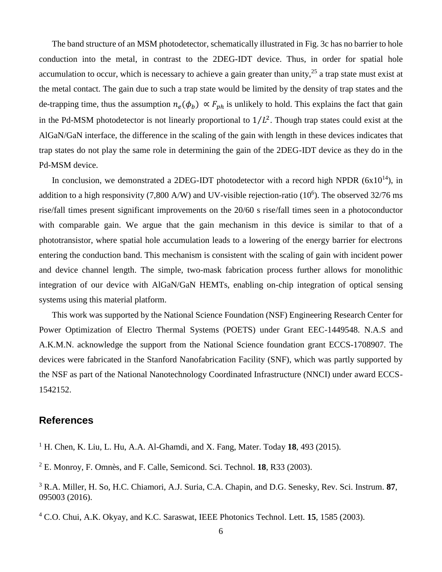The band structure of an MSM photodetector, schematically illustrated in Fig. 3c has no barrier to hole conduction into the metal, in contrast to the 2DEG-IDT device. Thus, in order for spatial hole accumulation to occur, which is necessary to achieve a gain greater than unity,  $25$  a trap state must exist at the metal contact. The gain due to such a trap state would be limited by the density of trap states and the de-trapping time, thus the assumption  $n_e(\phi_b) \propto F_{ph}$  is unlikely to hold. This explains the fact that gain in the Pd-MSM photodetector is not linearly proportional to  $1/L<sup>2</sup>$ . Though trap states could exist at the AlGaN/GaN interface, the difference in the scaling of the gain with length in these devices indicates that trap states do not play the same role in determining the gain of the 2DEG-IDT device as they do in the Pd-MSM device.

In conclusion, we demonstrated a 2DEG-IDT photodetector with a record high NPDR  $(6x10^{14})$ , in addition to a high responsivity (7,800 A/W) and UV-visible rejection-ratio ( $10^6$ ). The observed 32/76 ms rise/fall times present significant improvements on the 20/60 s rise/fall times seen in a photoconductor with comparable gain. We argue that the gain mechanism in this device is similar to that of a phototransistor, where spatial hole accumulation leads to a lowering of the energy barrier for electrons entering the conduction band. This mechanism is consistent with the scaling of gain with incident power and device channel length. The simple, two-mask fabrication process further allows for monolithic integration of our device with AlGaN/GaN HEMTs, enabling on-chip integration of optical sensing systems using this material platform.

This work was supported by the National Science Foundation (NSF) Engineering Research Center for Power Optimization of Electro Thermal Systems (POETS) under Grant EEC-1449548. N.A.S and A.K.M.N. acknowledge the support from the National Science foundation grant ECCS-1708907. The devices were fabricated in the Stanford Nanofabrication Facility (SNF), which was partly supported by the NSF as part of the National Nanotechnology Coordinated Infrastructure (NNCI) under award ECCS-1542152.

## **References**

<sup>1</sup> H. Chen, K. Liu, L. Hu, A.A. Al-Ghamdi, and X. Fang, Mater. Today **18**, 493 (2015).

<sup>2</sup> E. Monroy, F. Omnès, and F. Calle, Semicond. Sci. Technol. **18**, R33 (2003).

<sup>3</sup> R.A. Miller, H. So, H.C. Chiamori, A.J. Suria, C.A. Chapin, and D.G. Senesky, Rev. Sci. Instrum. **87**, 095003 (2016).

<sup>4</sup> C.O. Chui, A.K. Okyay, and K.C. Saraswat, IEEE Photonics Technol. Lett. **15**, 1585 (2003).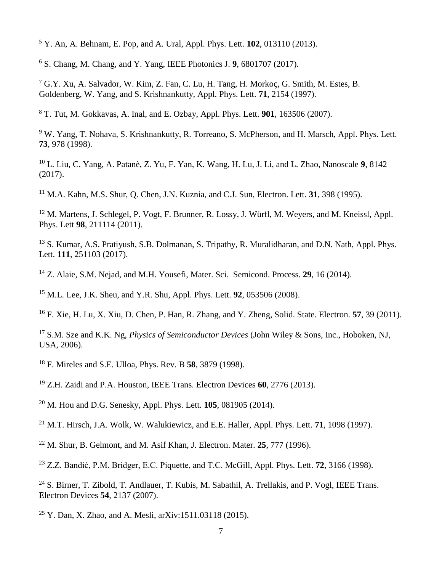Y. An, A. Behnam, E. Pop, and A. Ural, Appl. Phys. Lett. **102**, 013110 (2013).

S. Chang, M. Chang, and Y. Yang, IEEE Photonics J. **9**, 6801707 (2017).

 G.Y. Xu, A. Salvador, W. Kim, Z. Fan, C. Lu, H. Tang, H. Morkoç, G. Smith, M. Estes, B. Goldenberg, W. Yang, and S. Krishnankutty, Appl. Phys. Lett. **71**, 2154 (1997).

T. Tut, M. Gokkavas, A. Inal, and E. Ozbay, Appl. Phys. Lett. **901**, 163506 (2007).

 W. Yang, T. Nohava, S. Krishnankutty, R. Torreano, S. McPherson, and H. Marsch, Appl. Phys. Lett. , 978 (1998).

 L. Liu, C. Yang, A. Patanè, Z. Yu, F. Yan, K. Wang, H. Lu, J. Li, and L. Zhao, Nanoscale **9**, 8142 (2017).

M.A. Kahn, M.S. Shur, Q. Chen, J.N. Kuznia, and C.J. Sun, Electron. Lett. **31**, 398 (1995).

<sup>12</sup> M. Martens, J. Schlegel, P. Vogt, F. Brunner, R. Lossy, J. Würfl, M. Weyers, and M. Kneissl, Appl. Phys. Lett **98**, 211114 (2011).

<sup>13</sup> S. Kumar, A.S. Pratiyush, S.B. Dolmanan, S. Tripathy, R. Muralidharan, and D.N. Nath, Appl. Phys. Lett. **111**, 251103 (2017).

Z. Alaie, S.M. Nejad, and M.H. Yousefi, Mater. Sci. Semicond. Process. **29**, 16 (2014).

M.L. Lee, J.K. Sheu, and Y.R. Shu, Appl. Phys. Lett. **92**, 053506 (2008).

F. Xie, H. Lu, X. Xiu, D. Chen, P. Han, R. Zhang, and Y. Zheng, Solid. State. Electron. **57**, 39 (2011).

 S.M. Sze and K.K. Ng, *Physics of Semiconductor Devices* (John Wiley & Sons, Inc., Hoboken, NJ, USA, 2006).

F. Mireles and S.E. Ulloa, Phys. Rev. B **58**, 3879 (1998).

Z.H. Zaidi and P.A. Houston, IEEE Trans. Electron Devices **60**, 2776 (2013).

M. Hou and D.G. Senesky, Appl. Phys. Lett. **105**, 081905 (2014).

M.T. Hirsch, J.A. Wolk, W. Walukiewicz, and E.E. Haller, Appl. Phys. Lett. **71**, 1098 (1997).

M. Shur, B. Gelmont, and M. Asif Khan, J. Electron. Mater. **25**, 777 (1996).

Z.Z. Bandić, P.M. Bridger, E.C. Piquette, and T.C. McGill, Appl. Phys. Lett. **72**, 3166 (1998).

<sup>24</sup> S. Birner, T. Zibold, T. Andlauer, T. Kubis, M. Sabathil, A. Trellakis, and P. Vogl, IEEE Trans. Electron Devices **54**, 2137 (2007).

Y. Dan, X. Zhao, and A. Mesli, arXiv:1511.03118 (2015).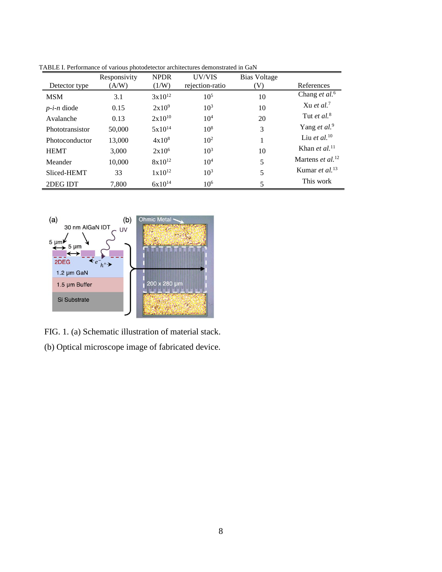|                 | Responsivity | <b>NPDR</b>        | UV/VIS          | Bias Voltage |                                     |
|-----------------|--------------|--------------------|-----------------|--------------|-------------------------------------|
| Detector type   | (A/W)        | (1/W)              | rejection-ratio | (V)          | References                          |
| <b>MSM</b>      | 3.1          | $3x10^{12}$        | $10^{5}$        | 10           | Chang <i>et al.</i> <sup>6</sup>    |
| $p-i-n$ diode   | 0.15         | $2x10^9$           | $10^3$          | 10           | Xu et al. <sup>7</sup>              |
| Avalanche       | 0.13         | $2x10^{10}$        | 10 <sup>4</sup> | 20           | Tut et al. <sup>8</sup>             |
| Phototransistor | 50,000       | $5x10^{14}$        | $10^{8}$        | 3            | Yang et al. <sup>9</sup>            |
| Photoconductor  | 13,000       | $4x10^{8}$         | 10 <sup>2</sup> | 1            | Liu et al. $10$                     |
| <b>HEMT</b>     | 3.000        | $2x10^6$           | $10^{3}$        | 10           | Khan et al. $^{11}$                 |
| Meander         | 10,000       | $8x10^{12}$        | 10 <sup>4</sup> | 5            | Martens <i>et al.</i> <sup>12</sup> |
| Sliced-HEMT     | 33           | $1 \times 10^{12}$ | $10^3$          | 5            | Kumar et al. $^{13}$                |
| 2DEG IDT        | 7,800        | $6x10^{14}$        | 10 <sup>6</sup> | 5            | This work                           |

TABLE I. Performance of various photodetector architectures demonstrated in GaN



FIG. 1. (a) Schematic illustration of material stack. (b) Optical microscope image of fabricated device.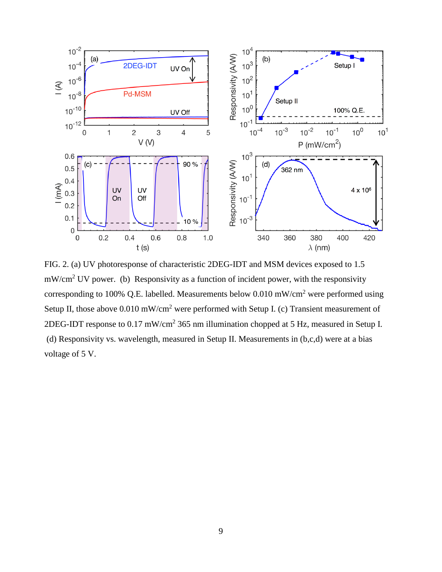

FIG. 2. (a) UV photoresponse of characteristic 2DEG-IDT and MSM devices exposed to 1.5  $mW/cm<sup>2</sup>$  UV power. (b) Responsivity as a function of incident power, with the responsivity corresponding to 100% Q.E. labelled. Measurements below  $0.010 \text{ mW/cm}^2$  were performed using Setup II, those above 0.010 mW/cm<sup>2</sup> were performed with Setup I. (c) Transient measurement of 2DEG-IDT response to 0.17 mW/cm<sup>2</sup> 365 nm illumination chopped at 5 Hz, measured in Setup I. (d) Responsivity vs. wavelength, measured in Setup II. Measurements in  $(b, c, d)$  were at a bias voltage of 5 V.